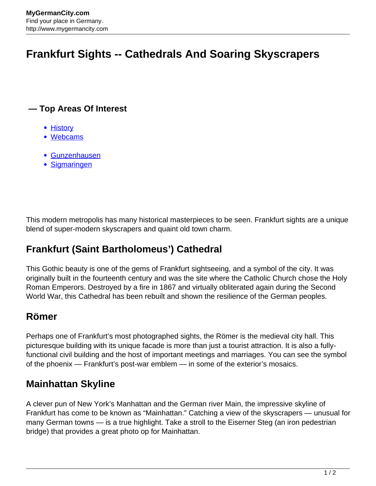# **Frankfurt Sights -- Cathedrals And Soaring Skyscrapers**

#### **— Top Areas Of Interest**

- [History](http://www.mygermancity.com/leipzig-history)
- [Webcams](http://www.mygermancity.com/neustadt-holstein-webcams)
- [Gunzenhausen](http://www.mygermancity.com/gunzenhausen)
- [Sigmaringen](http://www.mygermancity.com/sigmaringen)

This modern metropolis has many historical masterpieces to be seen. Frankfurt sights are a unique blend of super-modern skyscrapers and quaint old town charm.

# **Frankfurt (Saint Bartholomeus') Cathedral**

This Gothic beauty is one of the gems of Frankfurt sightseeing, and a symbol of the city. It was originally built in the fourteenth century and was the site where the Catholic Church chose the Holy Roman Emperors. Destroyed by a fire in 1867 and virtually obliterated again during the Second World War, this Cathedral has been rebuilt and shown the resilience of the German peoples.

# **Römer**

Perhaps one of Frankfurt's most photographed sights, the Römer is the medieval city hall. This picturesque building with its unique facade is more than just a tourist attraction. It is also a fullyfunctional civil building and the host of important meetings and marriages. You can see the symbol of the phoenix — Frankfurt's post-war emblem — in some of the exterior's mosaics.

# **Mainhattan Skyline**

A clever pun of New York's Manhattan and the German river Main, the impressive skyline of Frankfurt has come to be known as "Mainhattan." Catching a view of the skyscrapers — unusual for many German towns — is a true highlight. Take a stroll to the Eiserner Steg (an iron pedestrian bridge) that provides a great photo op for Mainhattan.